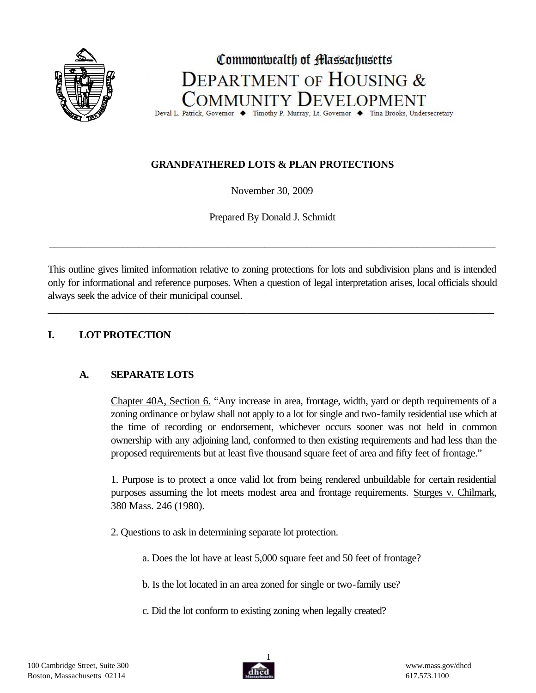

# Commonwealth of **Hassachusetts DEPARTMENT OF HOUSING &** COMMUNITY DEVELOPMENT

Deval L. Patrick, Governor ♦ Timothy P. Murray, Lt. Governor ♦ Tina Brooks, Undersecretary

# **GRANDFATHERED LOTS & PLAN PROTECTIONS**

November 30, 2009

Prepared By Donald J. Schmidt

\_\_\_\_\_\_\_\_\_\_\_\_\_\_\_\_\_\_\_\_\_\_\_\_\_\_\_\_\_\_\_\_\_\_\_\_\_\_\_\_\_\_\_\_\_\_\_\_\_\_\_\_\_\_\_\_\_\_\_\_\_\_\_\_\_\_\_\_\_\_\_\_\_\_\_\_\_\_\_\_\_\_\_\_\_

This outline gives limited information relative to zoning protections for lots and subdivision plans and is intended only for informational and reference purposes. When a question of legal interpretation arises, local officials should always seek the advice of their municipal counsel.

\_\_\_\_\_\_\_\_\_\_\_\_\_\_\_\_\_\_\_\_\_\_\_\_\_\_\_\_\_\_\_\_\_\_\_\_\_\_\_\_\_\_\_\_\_\_\_\_\_\_\_\_\_\_\_\_\_\_\_\_\_\_\_\_\_\_\_\_\_\_\_\_\_\_\_\_\_\_\_\_\_\_\_\_\_

# **I. LOT PROTECTION**

# **A. SEPARATE LOTS**

Chapter 40A, Section 6. "Any increase in area, frontage, width, yard or depth requirements of a zoning ordinance or bylaw shall not apply to a lot for single and two-family residential use which at the time of recording or endorsement, whichever occurs sooner was not held in common ownership with any adjoining land, conformed to then existing requirements and had less than the proposed requirements but at least five thousand square feet of area and fifty feet of frontage."

1. Purpose is to protect a once valid lot from being rendered unbuildable for certain residential purposes assuming the lot meets modest area and frontage requirements. Sturges v. Chilmark, 380 Mass. 246 (1980).

- 2. Questions to ask in determining separate lot protection.
	- a. Does the lot have at least 5,000 square feet and 50 feet of frontage?
	- b. Is the lot located in an area zoned for single or two-family use?
	- c. Did the lot conform to existing zoning when legally created?

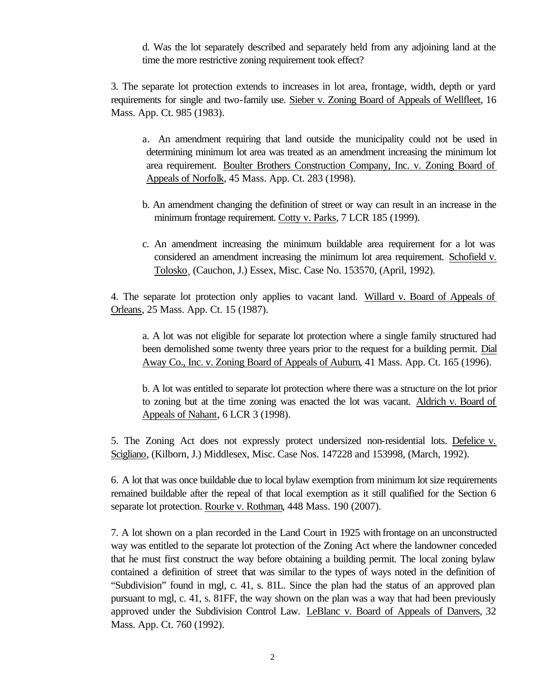d. Was the lot separately described and separately held from any adjoining land at the time the more restrictive zoning requirement took effect?

3. The separate lot protection extends to increases in lot area, frontage, width, depth or yard requirements for single and two-family use. Sieber v. Zoning Board of Appeals of Wellfleet, 16 Mass. App. Ct. 985 (1983).

a. An amendment requiring that land outside the municipality could not be used in determining minimum lot area was treated as an amendment increasing the minimum lot area requirement. Boulter Brothers Construction Company, Inc. v. Zoning Board of Appeals of Norfolk, 45 Mass. App. Ct. 283 (1998).

- b. An amendment changing the definition of street or way can result in an increase in the minimum frontage requirement. Cotty v. Parks, 7 LCR 185 (1999).
- c. An amendment increasing the minimum buildable area requirement for a lot was considered an amendment increasing the minimum lot area requirement. Schofield v. Tolosko¸ (Cauchon, J.) Essex, Misc. Case No. 153570, (April, 1992).

4. The separate lot protection only applies to vacant land. Willard v. Board of Appeals of Orleans, 25 Mass. App. Ct. 15 (1987).

a. A lot was not eligible for separate lot protection where a single family structured had been demolished some twenty three years prior to the request for a building permit. Dial Away Co., Inc. v. Zoning Board of Appeals of Auburn, 41 Mass. App. Ct. 165 (1996).

b. A lot was entitled to separate lot protection where there was a structure on the lot prior to zoning but at the time zoning was enacted the lot was vacant. Aldrich v. Board of Appeals of Nahant, 6 LCR 3 (1998).

5. The Zoning Act does not expressly protect undersized non-residential lots. Defelice v. Scigliano, (Kilborn, J.) Middlesex, Misc. Case Nos. 147228 and 153998, (March, 1992).

6. A lot that was once buildable due to local bylaw exemption from minimum lot size requirements remained buildable after the repeal of that local exemption as it still qualified for the Section 6 separate lot protection. Rourke v. Rothman, 448 Mass. 190 (2007).

7. A lot shown on a plan recorded in the Land Court in 1925 with frontage on an unconstructed way was entitled to the separate lot protection of the Zoning Act where the landowner conceded that he must first construct the way before obtaining a building permit. The local zoning bylaw contained a definition of street that was similar to the types of ways noted in the definition of "Subdivision" found in mgl, c. 41, s. 81L. Since the plan had the status of an approved plan pursuant to mgl, c. 41, s. 81FF, the way shown on the plan was a way that had been previously approved under the Subdivision Control Law. LeBlanc v. Board of Appeals of Danvers, 32 Mass. App. Ct. 760 (1992).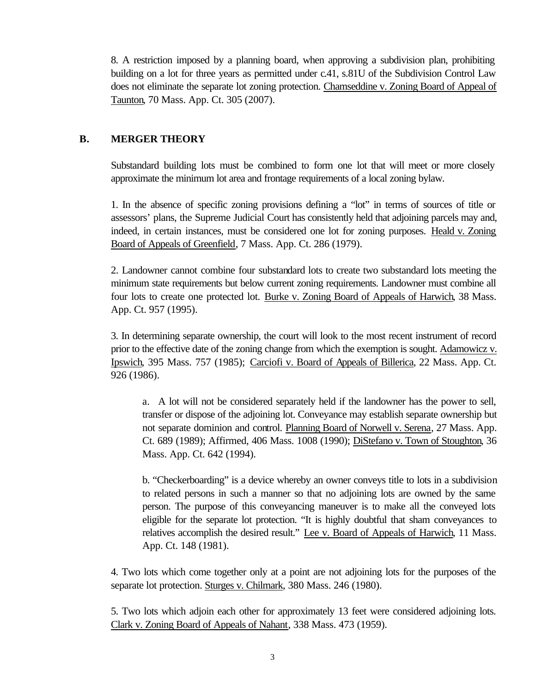8. A restriction imposed by a planning board, when approving a subdivision plan, prohibiting building on a lot for three years as permitted under c.41, s.81U of the Subdivision Control Law does not eliminate the separate lot zoning protection. Chamseddine v. Zoning Board of Appeal of Taunton, 70 Mass. App. Ct. 305 (2007).

## **B. MERGER THEORY**

Substandard building lots must be combined to form one lot that will meet or more closely approximate the minimum lot area and frontage requirements of a local zoning bylaw.

1. In the absence of specific zoning provisions defining a "lot" in terms of sources of title or assessors' plans, the Supreme Judicial Court has consistently held that adjoining parcels may and, indeed, in certain instances, must be considered one lot for zoning purposes. Heald v. Zoning Board of Appeals of Greenfield, 7 Mass. App. Ct. 286 (1979).

2. Landowner cannot combine four substandard lots to create two substandard lots meeting the minimum state requirements but below current zoning requirements. Landowner must combine all four lots to create one protected lot. Burke v. Zoning Board of Appeals of Harwich, 38 Mass. App. Ct. 957 (1995).

3. In determining separate ownership, the court will look to the most recent instrument of record prior to the effective date of the zoning change from which the exemption is sought. Adamowicz v. Ipswich, 395 Mass. 757 (1985); Carciofi v. Board of Appeals of Billerica, 22 Mass. App. Ct. 926 (1986).

a. A lot will not be considered separately held if the landowner has the power to sell, transfer or dispose of the adjoining lot. Conveyance may establish separate ownership but not separate dominion and control. Planning Board of Norwell v. Serena, 27 Mass. App. Ct. 689 (1989); Affirmed, 406 Mass. 1008 (1990); DiStefano v. Town of Stoughton, 36 Mass. App. Ct. 642 (1994).

b. "Checkerboarding" is a device whereby an owner conveys title to lots in a subdivision to related persons in such a manner so that no adjoining lots are owned by the same person. The purpose of this conveyancing maneuver is to make all the conveyed lots eligible for the separate lot protection. "It is highly doubtful that sham conveyances to relatives accomplish the desired result." Lee v. Board of Appeals of Harwich, 11 Mass. App. Ct. 148 (1981).

4. Two lots which come together only at a point are not adjoining lots for the purposes of the separate lot protection. Sturges v. Chilmark, 380 Mass. 246 (1980).

5. Two lots which adjoin each other for approximately 13 feet were considered adjoining lots. Clark v. Zoning Board of Appeals of Nahant, 338 Mass. 473 (1959).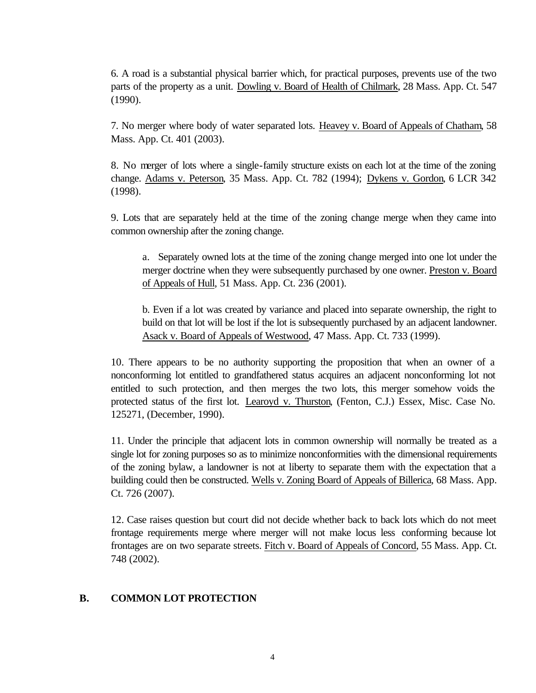6. A road is a substantial physical barrier which, for practical purposes, prevents use of the two parts of the property as a unit. Dowling v. Board of Health of Chilmark, 28 Mass. App. Ct. 547 (1990).

7. No merger where body of water separated lots. Heavey v. Board of Appeals of Chatham, 58 Mass. App. Ct. 401 (2003).

8. No merger of lots where a single-family structure exists on each lot at the time of the zoning change. Adams v. Peterson, 35 Mass. App. Ct. 782 (1994); Dykens v. Gordon, 6 LCR 342 (1998).

9. Lots that are separately held at the time of the zoning change merge when they came into common ownership after the zoning change.

a. Separately owned lots at the time of the zoning change merged into one lot under the merger doctrine when they were subsequently purchased by one owner. Preston v. Board of Appeals of Hull, 51 Mass. App. Ct. 236 (2001).

b. Even if a lot was created by variance and placed into separate ownership, the right to build on that lot will be lost if the lot is subsequently purchased by an adjacent landowner. Asack v. Board of Appeals of Westwood, 47 Mass. App. Ct. 733 (1999).

10. There appears to be no authority supporting the proposition that when an owner of a nonconforming lot entitled to grandfathered status acquires an adjacent nonconforming lot not entitled to such protection, and then merges the two lots, this merger somehow voids the protected status of the first lot. Learoyd v. Thurston, (Fenton, C.J.) Essex, Misc. Case No. 125271, (December, 1990).

11. Under the principle that adjacent lots in common ownership will normally be treated as a single lot for zoning purposes so as to minimize nonconformities with the dimensional requirements of the zoning bylaw, a landowner is not at liberty to separate them with the expectation that a building could then be constructed. Wells v. Zoning Board of Appeals of Billerica, 68 Mass. App. Ct. 726 (2007).

12. Case raises question but court did not decide whether back to back lots which do not meet frontage requirements merge where merger will not make locus less conforming because lot frontages are on two separate streets. Fitch v. Board of Appeals of Concord, 55 Mass. App. Ct. 748 (2002).

#### **B. COMMON LOT PROTECTION**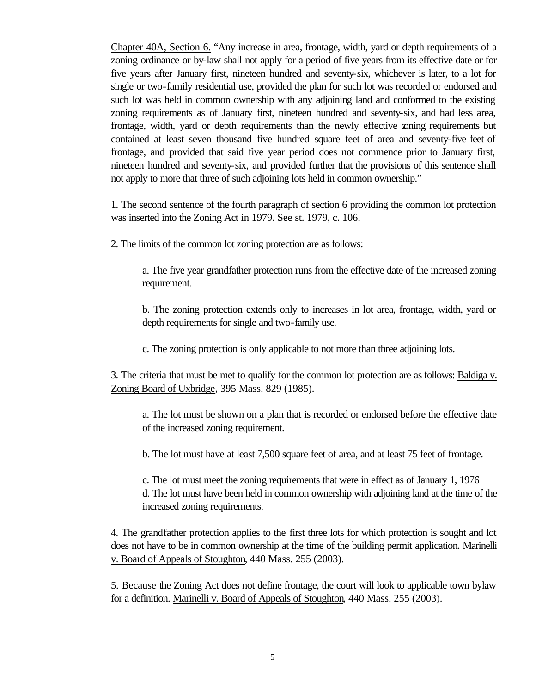Chapter 40A, Section 6. "Any increase in area, frontage, width, yard or depth requirements of a zoning ordinance or by-law shall not apply for a period of five years from its effective date or for five years after January first, nineteen hundred and seventy-six, whichever is later, to a lot for single or two-family residential use, provided the plan for such lot was recorded or endorsed and such lot was held in common ownership with any adjoining land and conformed to the existing zoning requirements as of January first, nineteen hundred and seventy-six, and had less area, frontage, width, yard or depth requirements than the newly effective zoning requirements but contained at least seven thousand five hundred square feet of area and seventy-five feet of frontage, and provided that said five year period does not commence prior to January first, nineteen hundred and seventy-six, and provided further that the provisions of this sentence shall not apply to more that three of such adjoining lots held in common ownership."

1. The second sentence of the fourth paragraph of section 6 providing the common lot protection was inserted into the Zoning Act in 1979. See st. 1979, c. 106.

2. The limits of the common lot zoning protection are as follows:

a. The five year grandfather protection runs from the effective date of the increased zoning requirement.

b. The zoning protection extends only to increases in lot area, frontage, width, yard or depth requirements for single and two-family use.

c. The zoning protection is only applicable to not more than three adjoining lots.

3. The criteria that must be met to qualify for the common lot protection are as follows: Baldiga v. Zoning Board of Uxbridge, 395 Mass. 829 (1985).

a. The lot must be shown on a plan that is recorded or endorsed before the effective date of the increased zoning requirement.

b. The lot must have at least 7,500 square feet of area, and at least 75 feet of frontage.

c. The lot must meet the zoning requirements that were in effect as of January 1, 1976 d. The lot must have been held in common ownership with adjoining land at the time of the increased zoning requirements.

4. The grandfather protection applies to the first three lots for which protection is sought and lot does not have to be in common ownership at the time of the building permit application. Marinelli v. Board of Appeals of Stoughton, 440 Mass. 255 (2003).

5. Because the Zoning Act does not define frontage, the court will look to applicable town bylaw for a definition. Marinelli v. Board of Appeals of Stoughton, 440 Mass. 255 (2003).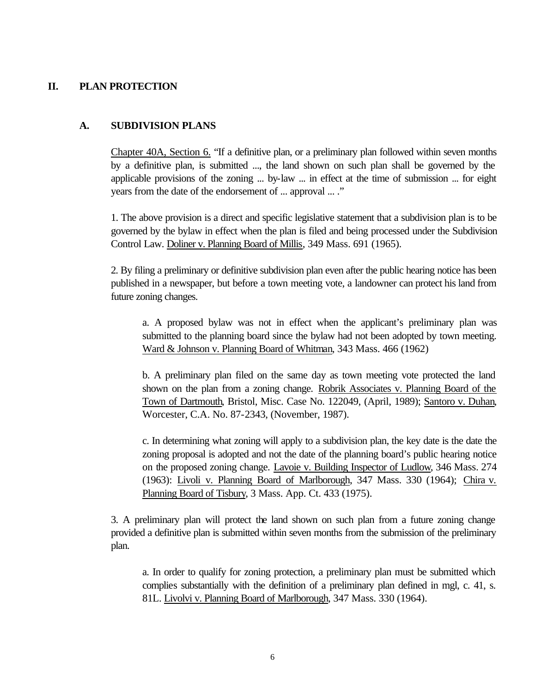## **II. PLAN PROTECTION**

#### **A. SUBDIVISION PLANS**

Chapter 40A, Section 6. "If a definitive plan, or a preliminary plan followed within seven months by a definitive plan, is submitted ..., the land shown on such plan shall be governed by the applicable provisions of the zoning ... by-law ... in effect at the time of submission ... for eight years from the date of the endorsement of ... approval ... ."

1. The above provision is a direct and specific legislative statement that a subdivision plan is to be governed by the bylaw in effect when the plan is filed and being processed under the Subdivision Control Law. Doliner v. Planning Board of Millis, 349 Mass. 691 (1965).

2. By filing a preliminary or definitive subdivision plan even after the public hearing notice has been published in a newspaper, but before a town meeting vote, a landowner can protect his land from future zoning changes.

a. A proposed bylaw was not in effect when the applicant's preliminary plan was submitted to the planning board since the bylaw had not been adopted by town meeting. Ward & Johnson v. Planning Board of Whitman, 343 Mass. 466 (1962)

b. A preliminary plan filed on the same day as town meeting vote protected the land shown on the plan from a zoning change. Robrik Associates v. Planning Board of the Town of Dartmouth, Bristol, Misc. Case No. 122049, (April, 1989); Santoro v. Duhan, Worcester, C.A. No. 87-2343, (November, 1987).

c. In determining what zoning will apply to a subdivision plan, the key date is the date the zoning proposal is adopted and not the date of the planning board's public hearing notice on the proposed zoning change. Lavoie v. Building Inspector of Ludlow, 346 Mass. 274 (1963): Livoli v. Planning Board of Marlborough, 347 Mass. 330 (1964); Chira v. Planning Board of Tisbury, 3 Mass. App. Ct. 433 (1975).

3. A preliminary plan will protect the land shown on such plan from a future zoning change provided a definitive plan is submitted within seven months from the submission of the preliminary plan.

a. In order to qualify for zoning protection, a preliminary plan must be submitted which complies substantially with the definition of a preliminary plan defined in mgl, c. 41, s. 81L. Livolvi v. Planning Board of Marlborough, 347 Mass. 330 (1964).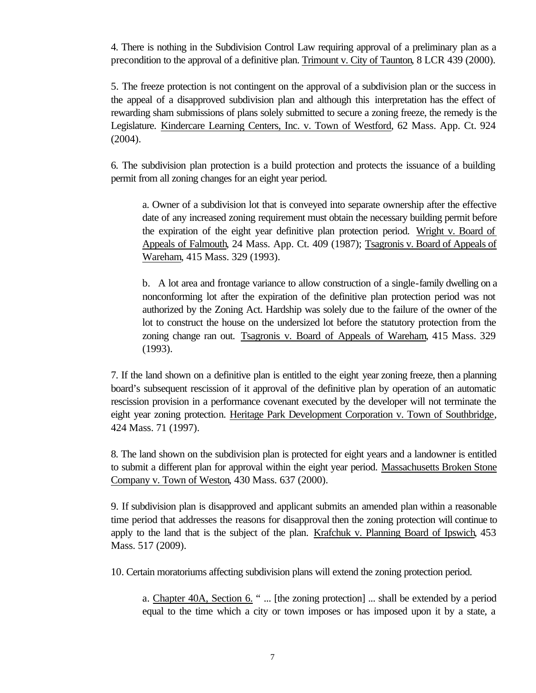4. There is nothing in the Subdivision Control Law requiring approval of a preliminary plan as a precondition to the approval of a definitive plan. Trimount v. City of Taunton, 8 LCR 439 (2000).

5. The freeze protection is not contingent on the approval of a subdivision plan or the success in the appeal of a disapproved subdivision plan and although this interpretation has the effect of rewarding sham submissions of plans solely submitted to secure a zoning freeze, the remedy is the Legislature. Kindercare Learning Centers, Inc. v. Town of Westford, 62 Mass. App. Ct. 924 (2004).

6. The subdivision plan protection is a build protection and protects the issuance of a building permit from all zoning changes for an eight year period.

a. Owner of a subdivision lot that is conveyed into separate ownership after the effective date of any increased zoning requirement must obtain the necessary building permit before the expiration of the eight year definitive plan protection period. Wright v. Board of Appeals of Falmouth, 24 Mass. App. Ct. 409 (1987); Tsagronis v. Board of Appeals of Wareham, 415 Mass. 329 (1993).

b. A lot area and frontage variance to allow construction of a single-family dwelling on a nonconforming lot after the expiration of the definitive plan protection period was not authorized by the Zoning Act. Hardship was solely due to the failure of the owner of the lot to construct the house on the undersized lot before the statutory protection from the zoning change ran out. Tsagronis v. Board of Appeals of Wareham, 415 Mass. 329 (1993).

7. If the land shown on a definitive plan is entitled to the eight year zoning freeze, then a planning board's subsequent rescission of it approval of the definitive plan by operation of an automatic rescission provision in a performance covenant executed by the developer will not terminate the eight year zoning protection. Heritage Park Development Corporation v. Town of Southbridge, 424 Mass. 71 (1997).

8. The land shown on the subdivision plan is protected for eight years and a landowner is entitled to submit a different plan for approval within the eight year period. Massachusetts Broken Stone Company v. Town of Weston, 430 Mass. 637 (2000).

9. If subdivision plan is disapproved and applicant submits an amended plan within a reasonable time period that addresses the reasons for disapproval then the zoning protection will continue to apply to the land that is the subject of the plan. Krafchuk v. Planning Board of Ipswich, 453 Mass. 517 (2009).

10. Certain moratoriums affecting subdivision plans will extend the zoning protection period.

a. Chapter 40A, Section 6. " ... [the zoning protection] ... shall be extended by a period equal to the time which a city or town imposes or has imposed upon it by a state, a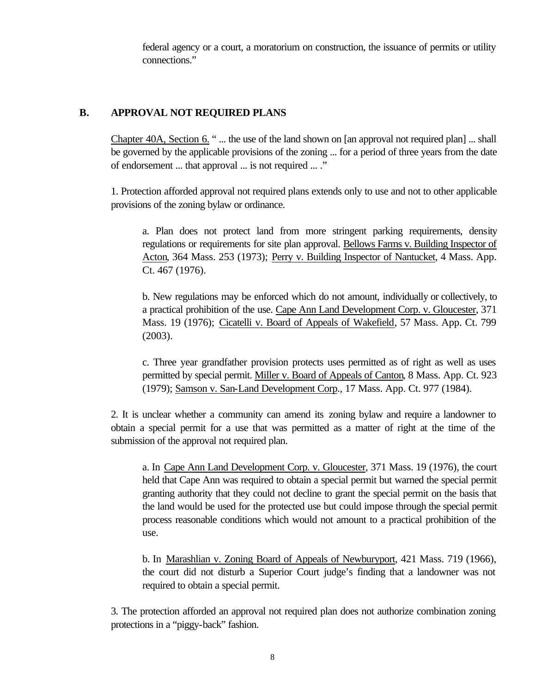federal agency or a court, a moratorium on construction, the issuance of permits or utility connections."

# **B. APPROVAL NOT REQUIRED PLANS**

Chapter 40A, Section 6. " ... the use of the land shown on [an approval not required plan] ... shall be governed by the applicable provisions of the zoning ... for a period of three years from the date of endorsement ... that approval ... is not required ... ."

1. Protection afforded approval not required plans extends only to use and not to other applicable provisions of the zoning bylaw or ordinance.

a. Plan does not protect land from more stringent parking requirements, density regulations or requirements for site plan approval. Bellows Farms v. Building Inspector of Acton, 364 Mass. 253 (1973); Perry v. Building Inspector of Nantucket, 4 Mass. App. Ct. 467 (1976).

b. New regulations may be enforced which do not amount, individually or collectively, to a practical prohibition of the use. Cape Ann Land Development Corp. v. Gloucester, 371 Mass. 19 (1976); Cicatelli v. Board of Appeals of Wakefield, 57 Mass. App. Ct. 799 (2003).

c. Three year grandfather provision protects uses permitted as of right as well as uses permitted by special permit. Miller v. Board of Appeals of Canton, 8 Mass. App. Ct. 923 (1979); Samson v. San-Land Development Corp., 17 Mass. App. Ct. 977 (1984).

2. It is unclear whether a community can amend its zoning bylaw and require a landowner to obtain a special permit for a use that was permitted as a matter of right at the time of the submission of the approval not required plan.

a. In Cape Ann Land Development Corp. v. Gloucester, 371 Mass. 19 (1976), the court held that Cape Ann was required to obtain a special permit but warned the special permit granting authority that they could not decline to grant the special permit on the basis that the land would be used for the protected use but could impose through the special permit process reasonable conditions which would not amount to a practical prohibition of the use.

b. In Marashlian v. Zoning Board of Appeals of Newburyport, 421 Mass. 719 (1966), the court did not disturb a Superior Court judge's finding that a landowner was not required to obtain a special permit.

3. The protection afforded an approval not required plan does not authorize combination zoning protections in a "piggy-back" fashion.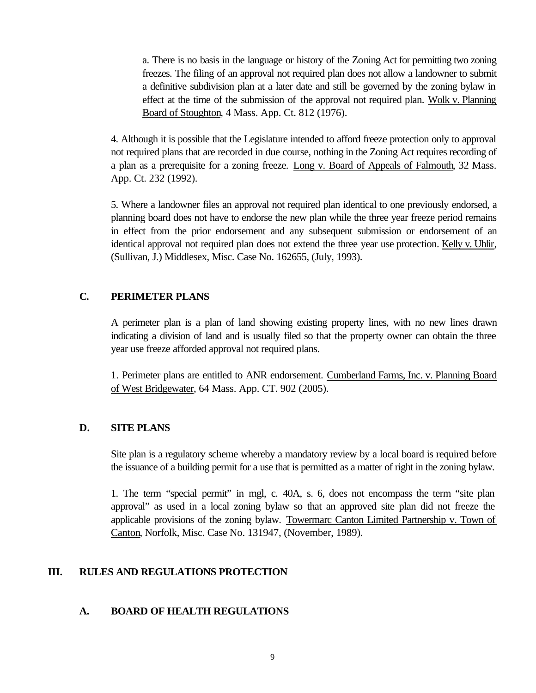a. There is no basis in the language or history of the Zoning Act for permitting two zoning freezes. The filing of an approval not required plan does not allow a landowner to submit a definitive subdivision plan at a later date and still be governed by the zoning bylaw in effect at the time of the submission of the approval not required plan. Wolk v. Planning Board of Stoughton, 4 Mass. App. Ct. 812 (1976).

4. Although it is possible that the Legislature intended to afford freeze protection only to approval not required plans that are recorded in due course, nothing in the Zoning Act requires recording of a plan as a prerequisite for a zoning freeze. Long v. Board of Appeals of Falmouth, 32 Mass. App. Ct. 232 (1992).

5. Where a landowner files an approval not required plan identical to one previously endorsed, a planning board does not have to endorse the new plan while the three year freeze period remains in effect from the prior endorsement and any subsequent submission or endorsement of an identical approval not required plan does not extend the three year use protection. Kelly v. Uhlir, (Sullivan, J.) Middlesex, Misc. Case No. 162655, (July, 1993).

#### **C. PERIMETER PLANS**

A perimeter plan is a plan of land showing existing property lines, with no new lines drawn indicating a division of land and is usually filed so that the property owner can obtain the three year use freeze afforded approval not required plans.

1. Perimeter plans are entitled to ANR endorsement. Cumberland Farms, Inc. v. Planning Board of West Bridgewater, 64 Mass. App. CT. 902 (2005).

#### **D. SITE PLANS**

Site plan is a regulatory scheme whereby a mandatory review by a local board is required before the issuance of a building permit for a use that is permitted as a matter of right in the zoning bylaw.

1. The term "special permit" in mgl, c. 40A, s. 6, does not encompass the term "site plan approval" as used in a local zoning bylaw so that an approved site plan did not freeze the applicable provisions of the zoning bylaw. Towermarc Canton Limited Partnership v. Town of Canton, Norfolk, Misc. Case No. 131947, (November, 1989).

# **III. RULES AND REGULATIONS PROTECTION**

# **A. BOARD OF HEALTH REGULATIONS**